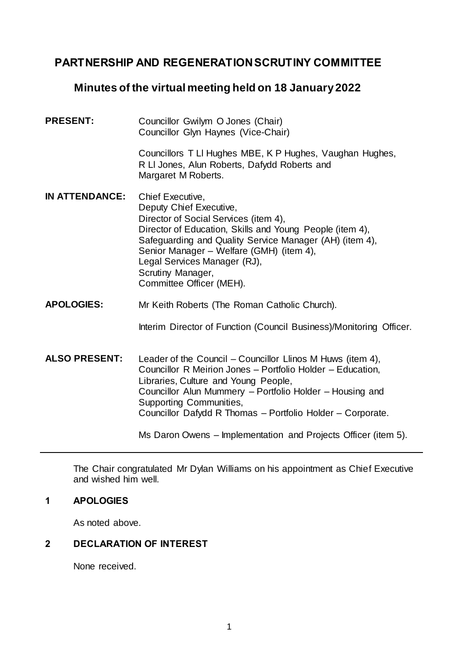# **PARTNERSHIP AND REGENERATION SCRUTINY COMMITTEE**

# **Minutes of the virtual meeting held on 18 January 2022**

- PRESENT: Councillor Gwilym O Jones (Chair) Councillor Glyn Haynes (Vice-Chair) Councillors T Ll Hughes MBE, K P Hughes, Vaughan Hughes, R Ll Jones, Alun Roberts, Dafydd Roberts and Margaret M Roberts. **IN ATTENDANCE:** Chief Executive, Deputy Chief Executive, Director of Social Services (item 4), Director of Education, Skills and Young People (item 4), Safeguarding and Quality Service Manager (AH) (item 4), Senior Manager – Welfare (GMH) (item 4), Legal Services Manager (RJ), Scrutiny Manager, Committee Officer (MEH).
- **APOLOGIES:** Mr Keith Roberts (The Roman Catholic Church).

Interim Director of Function (Council Business)/Monitoring Officer.

**ALSO PRESENT:** Leader of the Council – Councillor Llinos M Huws (item 4), Councillor R Meirion Jones – Portfolio Holder – Education, Libraries, Culture and Young People, Councillor Alun Mummery – Portfolio Holder – Housing and Supporting Communities, Councillor Dafydd R Thomas – Portfolio Holder – Corporate.

Ms Daron Owens – Implementation and Projects Officer (item 5).

The Chair congratulated Mr Dylan Williams on his appointment as Chief Executive and wished him well.

## **1 APOLOGIES**

As noted above.

## **2 DECLARATION OF INTEREST**

None received.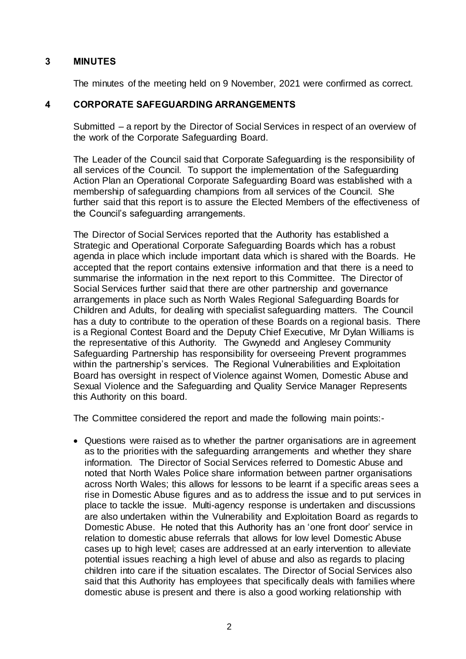# **3 MINUTES**

The minutes of the meeting held on 9 November, 2021 were confirmed as correct.

# **4 CORPORATE SAFEGUARDING ARRANGEMENTS**

Submitted – a report by the Director of Social Services in respect of an overview of the work of the Corporate Safeguarding Board.

The Leader of the Council said that Corporate Safeguarding is the responsibility of all services of the Council. To support the implementation of the Safeguarding Action Plan an Operational Corporate Safeguarding Board was established with a membership of safeguarding champions from all services of the Council. She further said that this report is to assure the Elected Members of the effectiveness of the Council's safeguarding arrangements.

The Director of Social Services reported that the Authority has established a Strategic and Operational Corporate Safeguarding Boards which has a robust agenda in place which include important data which is shared with the Boards. He accepted that the report contains extensive information and that there is a need to summarise the information in the next report to this Committee. The Director of Social Services further said that there are other partnership and governance arrangements in place such as North Wales Regional Safeguarding Boards for Children and Adults, for dealing with specialist safeguarding matters. The Council has a duty to contribute to the operation of these Boards on a regional basis. There is a Regional Contest Board and the Deputy Chief Executive, Mr Dylan Williams is the representative of this Authority. The Gwynedd and Anglesey Community Safeguarding Partnership has responsibility for overseeing Prevent programmes within the partnership's services. The Regional Vulnerabilities and Exploitation Board has oversight in respect of Violence against Women, Domestic Abuse and Sexual Violence and the Safeguarding and Quality Service Manager Represents this Authority on this board.

The Committee considered the report and made the following main points:-

 Questions were raised as to whether the partner organisations are in agreement as to the priorities with the safeguarding arrangements and whether they share information. The Director of Social Services referred to Domestic Abuse and noted that North Wales Police share information between partner organisations across North Wales; this allows for lessons to be learnt if a specific areas sees a rise in Domestic Abuse figures and as to address the issue and to put services in place to tackle the issue. Multi-agency response is undertaken and discussions are also undertaken within the Vulnerability and Exploitation Board as regards to Domestic Abuse. He noted that this Authority has an 'one front door' service in relation to domestic abuse referrals that allows for low level Domestic Abuse cases up to high level; cases are addressed at an early intervention to alleviate potential issues reaching a high level of abuse and also as regards to placing children into care if the situation escalates. The Director of Social Services also said that this Authority has employees that specifically deals with families where domestic abuse is present and there is also a good working relationship with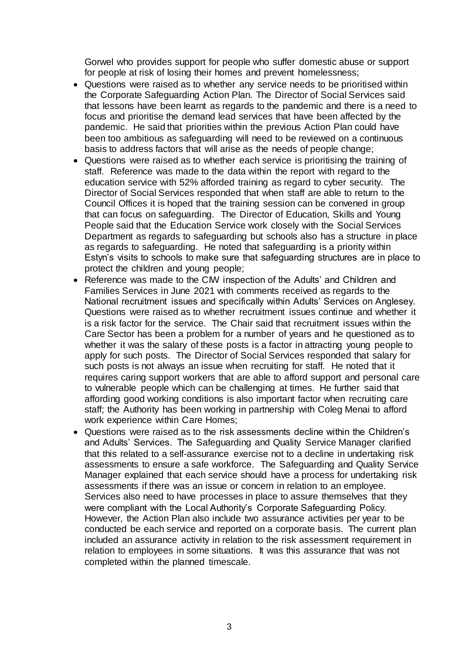Gorwel who provides support for people who suffer domestic abuse or support for people at risk of losing their homes and prevent homelessness;

- Questions were raised as to whether any service needs to be prioritised within the Corporate Safeguarding Action Plan. The Director of Social Services said that lessons have been learnt as regards to the pandemic and there is a need to focus and prioritise the demand lead services that have been affected by the pandemic. He said that priorities within the previous Action Plan could have been too ambitious as safeguarding will need to be reviewed on a continuous basis to address factors that will arise as the needs of people change;
- Questions were raised as to whether each service is prioritising the training of staff. Reference was made to the data within the report with regard to the education service with 52% afforded training as regard to cyber security. The Director of Social Services responded that when staff are able to return to the Council Offices it is hoped that the training session can be convened in group that can focus on safeguarding. The Director of Education, Skills and Young People said that the Education Service work closely with the Social Services Department as regards to safeguarding but schools also has a structure in place as regards to safeguarding. He noted that safeguarding is a priority within Estyn's visits to schools to make sure that safeguarding structures are in place to protect the children and young people;
- Reference was made to the CIW inspection of the Adults' and Children and Families Services in June 2021 with comments received as regards to the National recruitment issues and specifically within Adults' Services on Anglesey. Questions were raised as to whether recruitment issues continue and whether it is a risk factor for the service. The Chair said that recruitment issues within the Care Sector has been a problem for a number of years and he questioned as to whether it was the salary of these posts is a factor in attracting young people to apply for such posts. The Director of Social Services responded that salary for such posts is not always an issue when recruiting for staff. He noted that it requires caring support workers that are able to afford support and personal care to vulnerable people which can be challenging at times. He further said that affording good working conditions is also important factor when recruiting care staff; the Authority has been working in partnership with Coleg Menai to afford work experience within Care Homes;
- Questions were raised as to the risk assessments decline within the Children's and Adults' Services. The Safeguarding and Quality Service Manager clarified that this related to a self-assurance exercise not to a decline in undertaking risk assessments to ensure a safe workforce. The Safeguarding and Quality Service Manager explained that each service should have a process for undertaking risk assessments if there was an issue or concern in relation to an employee. Services also need to have processes in place to assure themselves that they were compliant with the Local Authority's Corporate Safeguarding Policy. However, the Action Plan also include two assurance activities per year to be conducted be each service and reported on a corporate basis. The current plan included an assurance activity in relation to the risk assessment requirement in relation to employees in some situations. It was this assurance that was not completed within the planned timescale.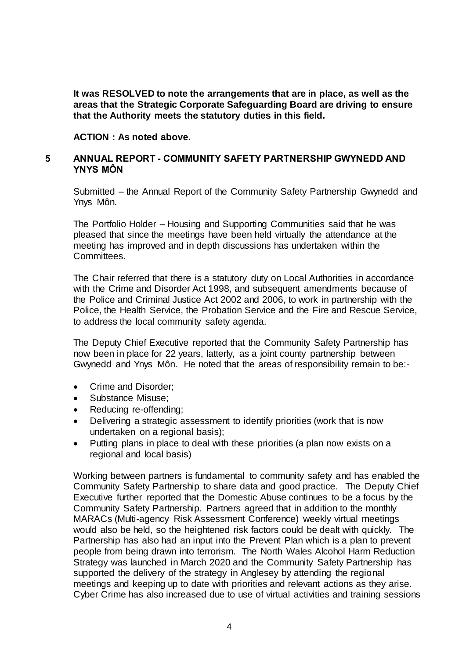**It was RESOLVED to note the arrangements that are in place, as well as the areas that the Strategic Corporate Safeguarding Board are driving to ensure that the Authority meets the statutory duties in this field.**

#### **ACTION : As noted above.**

### **5 ANNUAL REPORT - COMMUNITY SAFETY PARTNERSHIP GWYNEDD AND YNYS MÔN**

Submitted – the Annual Report of the Community Safety Partnership Gwynedd and Ynys Môn.

The Portfolio Holder – Housing and Supporting Communities said that he was pleased that since the meetings have been held virtually the attendance at the meeting has improved and in depth discussions has undertaken within the Committees.

The Chair referred that there is a statutory duty on Local Authorities in accordance with the Crime and Disorder Act 1998, and subsequent amendments because of the Police and Criminal Justice Act 2002 and 2006, to work in partnership with the Police, the Health Service, the Probation Service and the Fire and Rescue Service, to address the local community safety agenda.

The Deputy Chief Executive reported that the Community Safety Partnership has now been in place for 22 years, latterly, as a joint county partnership between Gwynedd and Ynys Môn. He noted that the areas of responsibility remain to be:-

- Crime and Disorder;
- Substance Misuse;
- Reducing re-offending;
- Delivering a strategic assessment to identify priorities (work that is now undertaken on a regional basis);
- Putting plans in place to deal with these priorities (a plan now exists on a regional and local basis)

Working between partners is fundamental to community safety and has enabled the Community Safety Partnership to share data and good practice. The Deputy Chief Executive further reported that the Domestic Abuse continues to be a focus by the Community Safety Partnership. Partners agreed that in addition to the monthly MARACs (Multi-agency Risk Assessment Conference) weekly virtual meetings would also be held, so the heightened risk factors could be dealt with quickly. The Partnership has also had an input into the Prevent Plan which is a plan to prevent people from being drawn into terrorism. The North Wales Alcohol Harm Reduction Strategy was launched in March 2020 and the Community Safety Partnership has supported the delivery of the strategy in Anglesey by attending the regional meetings and keeping up to date with priorities and relevant actions as they arise. Cyber Crime has also increased due to use of virtual activities and training sessions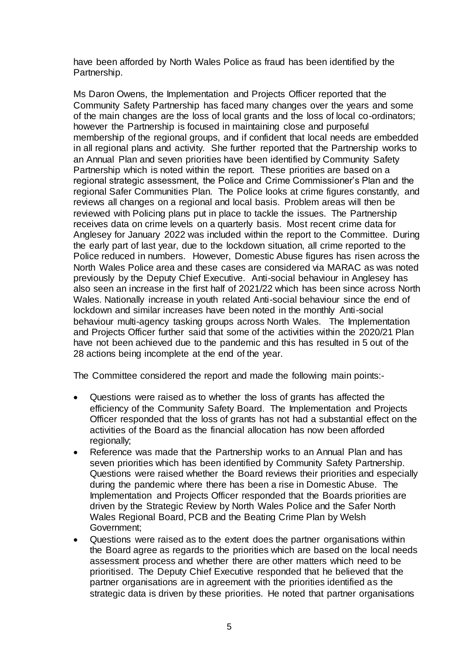have been afforded by North Wales Police as fraud has been identified by the Partnership.

Ms Daron Owens, the Implementation and Projects Officer reported that the Community Safety Partnership has faced many changes over the years and some of the main changes are the loss of local grants and the loss of local co-ordinators; however the Partnership is focused in maintaining close and purposeful membership of the regional groups, and if confident that local needs are embedded in all regional plans and activity. She further reported that the Partnership works to an Annual Plan and seven priorities have been identified by Community Safety Partnership which is noted within the report. These priorities are based on a regional strategic assessment, the Police and Crime Commissioner's Plan and the regional Safer Communities Plan. The Police looks at crime figures constantly, and reviews all changes on a regional and local basis. Problem areas will then be reviewed with Policing plans put in place to tackle the issues. The Partnership receives data on crime levels on a quarterly basis. Most recent crime data for Anglesey for January 2022 was included within the report to the Committee. During the early part of last year, due to the lockdown situation, all crime reported to the Police reduced in numbers. However, Domestic Abuse figures has risen across the North Wales Police area and these cases are considered via MARAC as was noted previously by the Deputy Chief Executive. Anti-social behaviour in Anglesey has also seen an increase in the first half of 2021/22 which has been since across North Wales. Nationally increase in youth related Anti-social behaviour since the end of lockdown and similar increases have been noted in the monthly Anti-social behaviour multi-agency tasking groups across North Wales. The Implementation and Projects Officer further said that some of the activities within the 2020/21 Plan have not been achieved due to the pandemic and this has resulted in 5 out of the 28 actions being incomplete at the end of the year.

The Committee considered the report and made the following main points:-

- Questions were raised as to whether the loss of grants has affected the efficiency of the Community Safety Board. The Implementation and Projects Officer responded that the loss of grants has not had a substantial effect on the activities of the Board as the financial allocation has now been afforded regionally;
- Reference was made that the Partnership works to an Annual Plan and has seven priorities which has been identified by Community Safety Partnership. Questions were raised whether the Board reviews their priorities and especially during the pandemic where there has been a rise in Domestic Abuse. The Implementation and Projects Officer responded that the Boards priorities are driven by the Strategic Review by North Wales Police and the Safer North Wales Regional Board, PCB and the Beating Crime Plan by Welsh Government;
- Questions were raised as to the extent does the partner organisations within the Board agree as regards to the priorities which are based on the local needs assessment process and whether there are other matters which need to be prioritised. The Deputy Chief Executive responded that he believed that the partner organisations are in agreement with the priorities identified as the strategic data is driven by these priorities. He noted that partner organisations